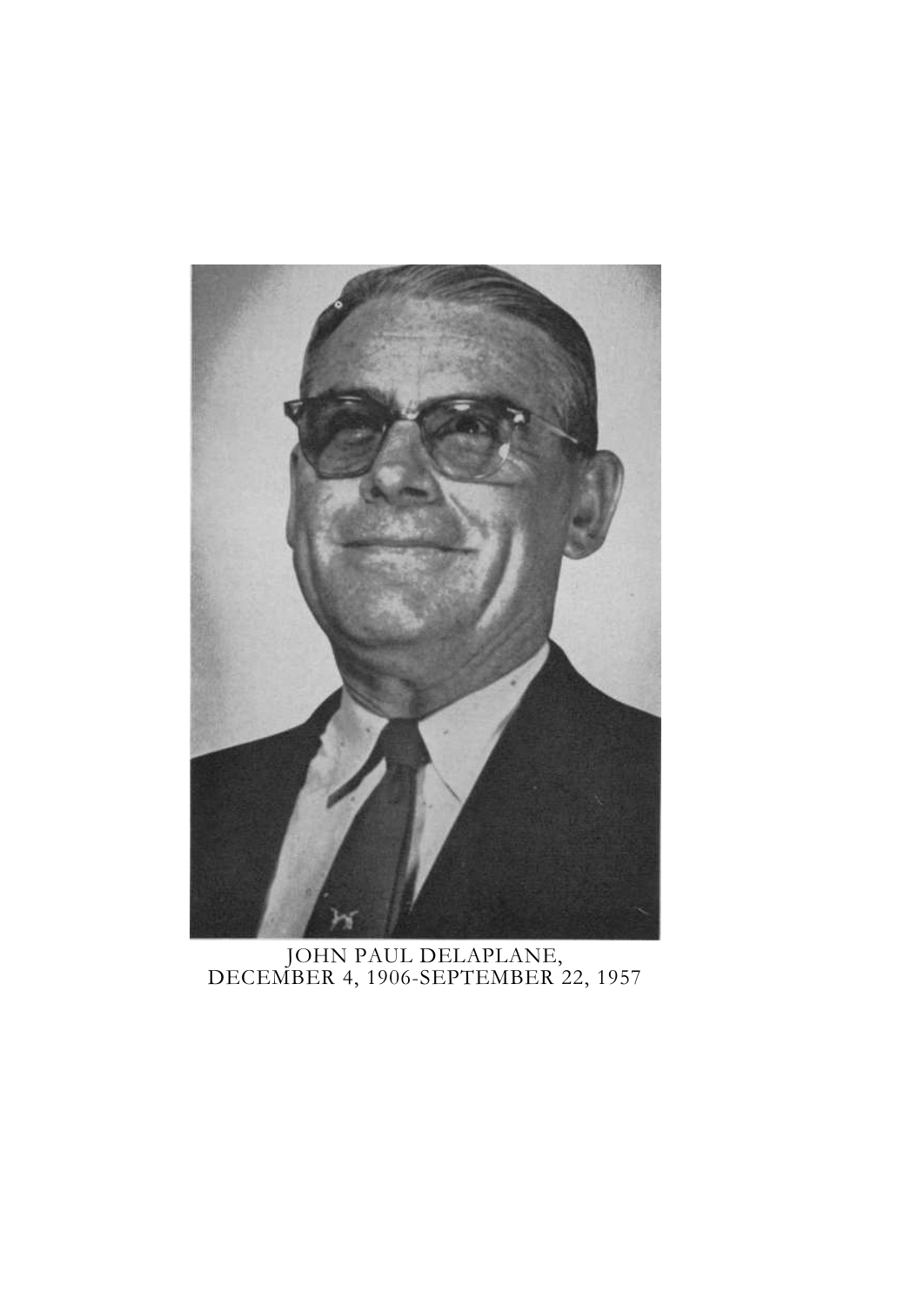

JOHN PAUL DELAPLANE, DECEMBER 4, 1906-SEPTEMBER 22, 1957